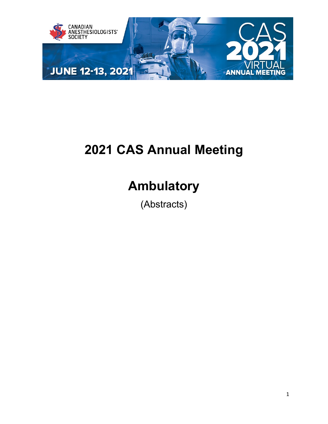

## **2021 CAS Annual Meeting**

# **Ambulatory**

(Abstracts)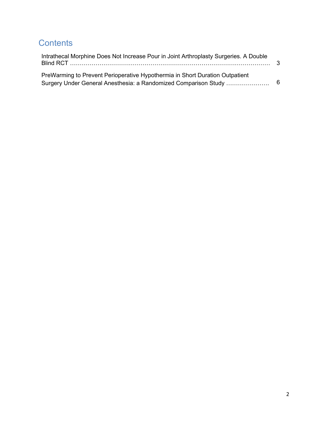### **Contents**

| Intrathecal Morphine Does Not Increase Pour in Joint Arthroplasty Surgeries. A Double |  |
|---------------------------------------------------------------------------------------|--|
| PreWarming to Prevent Perioperative Hypothermia in Short Duration Outpatient          |  |
|                                                                                       |  |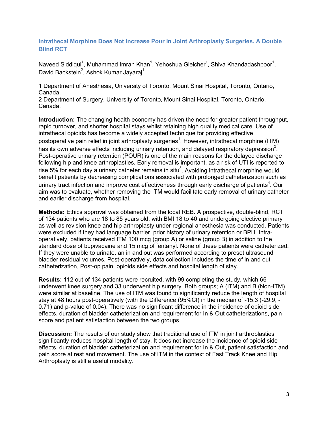#### <span id="page-2-0"></span>**Intrathecal Morphine Does Not Increase Pour in Joint Arthroplasty Surgeries. A Double Blind RCT**

Naveed Siddiqui $^1$ , Muhammad Imran Khan $^1$ , Yehoshua Gleicher $^1$ , Shiva Khandadashpoor $^1$ , David Backstein $^2$ , Ashok Kumar Jayaraj $^1$ .

1 Department of Anesthesia, University of Toronto, Mount Sinai Hospital, Toronto, Ontario, Canada.

2 Department of Surgery, University of Toronto, Mount Sinai Hospital, Toronto, Ontario, Canada.

**Introduction:** The changing health economy has driven the need for greater patient throughput, rapid turnover, and shorter hospital stays whilst retaining high quality medical care. Use of intrathecal opioids has become a widely accepted technique for providing effective postoperative pain relief in joint arthroplasty surgeries $^{\rm 1}$ . However, intrathecal morphine (ITM) has its own adverse effects including urinary retention, and delayed respiratory depression $^2\!\!.$ Post-operative urinary retention (POUR) is one of the main reasons for the delayed discharge following hip and knee arthroplasties. Early removal is important, as a risk of UTI is reported to rise 5% for each day a urinary catheter remains in situ $^3$ . Avoiding intrathecal morphine would benefit patients by decreasing complications associated with prolonged catheterization such as urinary tract infection and improve cost effectiveness through early discharge of patients $^4$ . Our aim was to evaluate, whether removing the ITM would facilitate early removal of urinary catheter and earlier discharge from hospital.

**Methods:** Ethics approval was obtained from the local REB. A prospective, double-blind, RCT of 134 patients who are 18 to 85 years old, with BMI 18 to 40 and undergoing elective primary as well as revision knee and hip arthroplasty under regional anesthesia was conducted. Patients were excluded if they had language barrier, prior history of urinary retention or BPH. Intraoperatively, patients received ITM 100 mcg (group A) or saline (group B) in addition to the standard dose of bupivacaine and 15 mcg of fentanyl. None of these patients were catheterized. If they were unable to urinate, an in and out was performed according to preset ultrasound bladder residual volumes. Post-operatively, data collection includes the time of in and out catheterization, Post-op pain, opioids side effects and hospital length of stay.

**Results:** 112 out of 134 patients were recruited, with 99 completing the study, which 66 underwent knee surgery and 33 underwent hip surgery. Both groups; A (ITM) and B (Non-ITM) were similar at baseline. The use of ITM was found to significantly reduce the length of hospital stay at 48 hours post-operatively (with the Difference (95%CI) in the median of -15.3 (-29.9, - 0.71) and p-value of 0.04). There was no significant difference in the incidence of opioid side effects, duration of bladder catheterization and requirement for In & Out catheterizations, pain score and patient satisfaction between the two groups.

**Discussion:** The results of our study show that traditional use of ITM in joint arthroplasties significantly reduces hospital length of stay. It does not increase the incidence of opioid side effects, duration of bladder catheterization and requirement for In & Out, patient satisfaction and pain score at rest and movement. The use of ITM in the context of Fast Track Knee and Hip Arthroplasty is still a useful modality.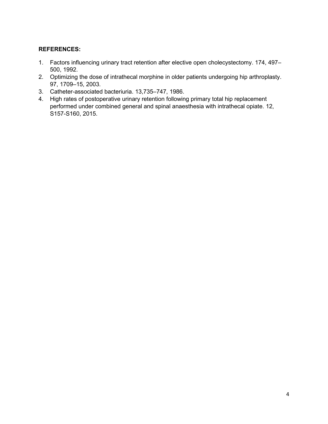#### **REFERENCES:**

- 1. Factors influencing urinary tract retention after elective open cholecystectomy. 174, 497– 500, 1992.
- 2. Optimizing the dose of intrathecal morphine in older patients undergoing hip arthroplasty. 97, 1709–15, 2003.
- 3. Catheter-associated bacteriuria. 13,735–747, 1986.
- 4. High rates of postoperative urinary retention following primary total hip replacement performed under combined general and spinal anaesthesia with intrathecal opiate. 12, S157-S160, 2015.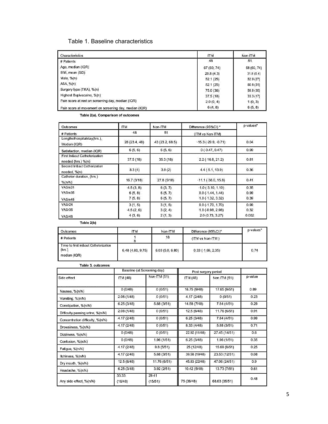### Table 1. Baseline characteristics

| Characteristics                                       | <b>ITM</b>  | Non-ITM     |
|-------------------------------------------------------|-------------|-------------|
| # Patients                                            | 48          | 51          |
| Age, median (IQR)                                     | 67 (60, 74) | 68 (60, 74) |
| BMI, mean (SD)                                        | 29.8(4.3)   | 31.8(5.4)   |
| Male, $%$ (n)                                         | 52.1(25)    | 52.9(27)    |
| ASA, $%$ (n)                                          | 52.1(25)    | 60.8(31)    |
| Surgery type (TKA), %(n)                              | 75.0 (36)   | 58.8 (30)   |
| Highest Bupivacaine, %(n)                             | 37.5(18)    | 33.3(17)    |
| Pain score at rest on screening day, median (IQR)     | 2.0(0, 4)   | 1(0, 3)     |
| Pain score at movement on screening day, median (IQR) | 6(4, 8)     | 6(5, 8)     |

#### Table 2(a). Comparison of outcomes

| Outcomes                                           | <b>ITM</b><br>Non-ITM<br>Difference (95%CI) * |                 | p-values*                  |       |
|----------------------------------------------------|-----------------------------------------------|-----------------|----------------------------|-------|
| # Patients                                         | -48                                           | 51              | (ITM vs Non-ITM)           |       |
| Lengthofhospitalstay(hrs.),<br>Median (IQR)        | 28 (23.4, 48)                                 | 43 (23.2, 68.5) | $=15.3$ (-29.9, -0.71)     | 0.04  |
| Satisfaction, median (IQR)                         | 6(5, 6)                                       | 6(5, 6)         | 0(.0.47, 0.47)             | 0.99  |
| First In&out Catheterization<br>needed (hrs.) %(n) | 37.5(18)                                      | 35.3(18)        | $2.2$ (-16.8, 21.2)        | 0.81  |
| Second In&out Catherization<br>needed, %(n)        | 8.3(4)                                        | 3.9(2)          | $4.4(-5.1, 13.9)$          | 0.36  |
| Catheter duration, (hrs.)<br>% (n/N)               | 16.7(3/18)                                    | 27.8(5/18)      | $-11.1(-38.0, 15.8)$       | 0.41  |
| VASm24                                             | 4.5(3,8)                                      | 6(3, 7)         | $-1.0$ ( $-3.10, 1.10$ )   | 0.35  |
| VASm36                                             | 6(5, 8)                                       | 6(5, 7)         | $0.0$ ( $-1.44$ , $1.44$ ) | 0.99  |
| VASm48                                             | 7(5, 8)                                       | 6(5, 7)         | $1.0$ (-1.32, 3.32)        | 0.39  |
| VASr24                                             | 3(1, 5)                                       | 3(1, 5)         | $0.0$ (-1.70, 1.70)        | 0.99  |
| VASr36                                             | 4.5(2, 6)                                     | 3(2, 4)         | $1.0(-0.98, 2.98)$         | 0.32  |
| VASr48                                             | 4(3, 6)                                       | 2(1, 3)         | 2.0(0.73, 3.27)            | 0.002 |

Table 2(b)

| Outcomes                                                       | <b>ITM</b>        | Non-ITM         | Difference (95%CI)*  | p-values* |
|----------------------------------------------------------------|-------------------|-----------------|----------------------|-----------|
| # Patients                                                     | ō                 | 18              | (ITM vs Non-ITM)     |           |
| Time to first in&out Catheterization<br>(hrs.)<br>median (IQR) | 6.48 (4.80, 9.75) | 6.03(5.0, 6.80) | $0.33$ (-1.69, 2.35) | 0.74      |

| Side-effect                      | Baseline (at Screening day). |                  | Post surgery period |               |         |
|----------------------------------|------------------------------|------------------|---------------------|---------------|---------|
|                                  | ITM (48)                     | Non-ITM $(51)$   | ITM (48)            | Non-ITM (51)  | p-value |
| Nausea, %(n/N)                   | 0(0/48)                      | 0(0/51)          | 18.75 (9/48)        | 17.65 (9/51)  | 0.89    |
| Vomiting, %(n/N)                 | 2.08(1/48)                   | 0(0/51)          | 4.17 (2/48)         | 0(0/51)       | 0.23    |
| Constipation, %(n/N)             | 6.25(3/48)                   | 5.88 (3/51)      | 14.58 (7/48)        | 7.84 (4/51)   | 0.29    |
| Difficulty passing urine, %(n/N) | 2.08(1/48)                   | 0(0/51)          | 12.5(6/48)          | 11.76 (6/51)  | 0.91    |
| Concentration difficulty, %(n/N) | 4.17 (2/48)                  | 0(0/51)          | 6.25(3/48)          | 7.84 (4/51)   | 0.99    |
| Drowsiness, %(n/N)               | 4.17 (2/48)                  | 0(0/51)          | 8.33(4/48)          | 5.88 (3/51)   | 0.71    |
| Dizziness, %(n/N)                | 0(0/48)                      | 0(0/51)          | 22.92 (11/48)       | 27.45 (14/51) | 0.6     |
| Confusion, %(n/N)                | 0(0/48)                      | 1.96(1/51)       | 6.25(3/48)          | 1.96(1/51)    | 0.35    |
| Fatigue, %(n/N)                  | 4.17 (2/48)                  | 9.8(5/51)        | 25 (12/48)          | 15.69 (8/51)  | 0.25    |
| Itchiness, %(n/N)                | 4.17 (2/48)                  | 5.88(3/51)       | 39.58 (19/48)       | 23.53 (12/51) | 0.08    |
| Dry mouth, %(n/N)                | 12.5 (6/48)                  | 11.76 (6/51)     | 45.83 (22/48)       | 47.06 (24/51) | 0.9     |
| Headache, %(n/N)                 | 6.25(3/48)                   | 3.92(2/51)       | 10.42 (5/48)        | 13.73 (7/51)  | 0.61    |
| Any side-effect, %(n/N)          | 33.33<br>(16/48)             | 29.41<br>(15/51) | 75 (36/48)          | 68.63 (35/51) | 0.48    |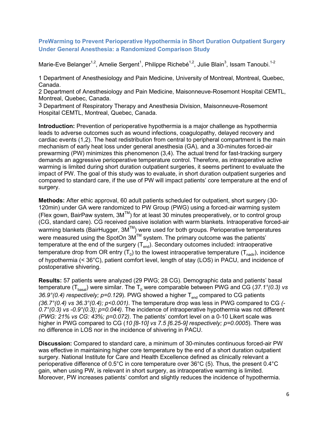#### <span id="page-5-0"></span>**PreWarming to Prevent Perioperative Hypothermia in Short Duration Outpatient Surgery Under General Anesthesia: a Randomized Comparison Study**

Marie-Eve Belanger $^{1,2}$ , Amelie Sergent $^1$ , Philippe Richebé $^{1,2}$ , Julie Blain $^3$ , Issam Tanoubi. $^{1\text{-}2}$ 

1 Department of Anesthesiology and Pain Medicine, University of Montreal, Montreal, Quebec, Canada.

2 Department of Anesthesiology and Pain Medicine, Maisonneuve-Rosemont Hospital CEMTL, Montreal, Quebec, Canada.

3 Department of Respiratory Therapy and Anesthesia Division, Maisonneuve-Rosemont Hospital CEMTL, Montreal, Quebec, Canada.

**Introduction:** Prevention of perioperative hypothermia is a major challenge as hypothermia leads to adverse outcomes such as wound infections, coagulopathy, delayed recovery and cardiac events (1,2). The heat redistribution from central to peripheral compartment is the main mechanism of early heat loss under general anesthesia (GA), and a 30-minutes forced-air prewarming (PW) minimizes this phenomenon (3,4). The actual trend for fast-tracking surgery demands an aggressive perioperative temperature control. Therefore, as intraoperative active warming is limited during short duration outpatient surgeries, it seems pertinent to evaluate the impact of PW. The goal of this study was to evaluate, in short duration outpatient surgeries and compared to standard care, if the use of PW will impact patients' core temperature at the end of surgery.

**Methods:** After ethic approval, 60 adult patients scheduled for outpatient, short surgery (30- 120min) under GA were randomized to PW Group (PWG) using a forced-air warming system (Flex gown, BairPaw system, 3MTM) for at least 30 minutes preoperatively, or to control group (CG, standard care). CG received passive isolation with warm blankets. Intraoperative forced-air warming blankets (BairHugger,  $3M^{TM}$ ) were used for both groups. Perioperative temperatures were measured using the SpotOn 3M<sup>™</sup> system. The primary outcome was the patients' temperature at the end of the surgery  $(T_{end})$ . Secondary outcomes included: intraoperative temperature drop from OR entry  $(T_0)$  to the lowest intraoperative temperature  $(T_{nadir})$ , incidence of hypothermia (˂ 36°C), patient comfort level, length of stay (LOS) in PACU, and incidence of postoperative shivering.

**Results:** 57 patients were analyzed (29 PWG; 28 CG). Demographic data and patients' basal temperature (T<sub>basal</sub>) were similar. The T<sub>0</sub> were comparable between PWG and CG (37.1°(0.3) vs 36.9°(0.4) respectively;  $p=0.129$ ). PWG showed a higher T<sub>end</sub> compared to CG patients *(36.7°(0.4) vs 36.3°(0.4); p˂0.001)*. The temperature drop was less in PWG compared to CG *(- 0.7°(0.3) vs -0.9°(0.3); p=0.044)*. The incidence of intraoperative hypothermia was not different *(PWG: 21% vs CG: 43%; p=0.072)*. The patients' comfort level on a 0-10 Likert scale was higher in PWG compared to CG (*10 [8-10] vs 7.5 [6.25-9] respectively; p=0.0005*). There was no difference in LOS nor in the incidence of shivering in PACU.

**Discussion:** Compared to standard care, a minimum of 30-minutes continuous forced-air PW was effective in maintaining higher core temperature by the end of a short duration outpatient surgery. National Institute for Care and Health Excellence defined as clinically relevant a perioperative difference of 0.5°C in core temperature over 36°C (5). Thus, the present 0.4°C gain, when using PW, is relevant in short surgery, as intraoperative warming is limited. Moreover, PW increases patients' comfort and slightly reduces the incidence of hypothermia.